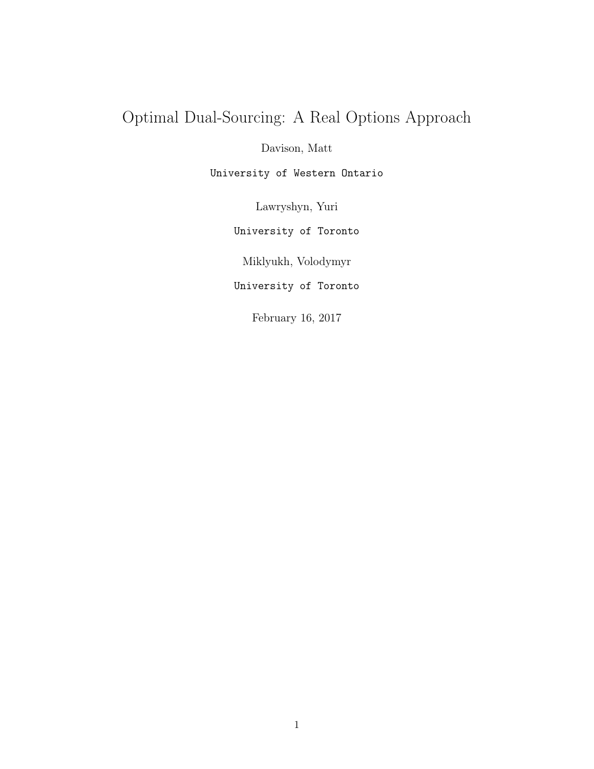## Optimal Dual-Sourcing: A Real Options Approach

Davison, Matt

University of Western Ontario

Lawryshyn, Yuri

University of Toronto

Miklyukh, Volodymyr

University of Toronto

February 16, 2017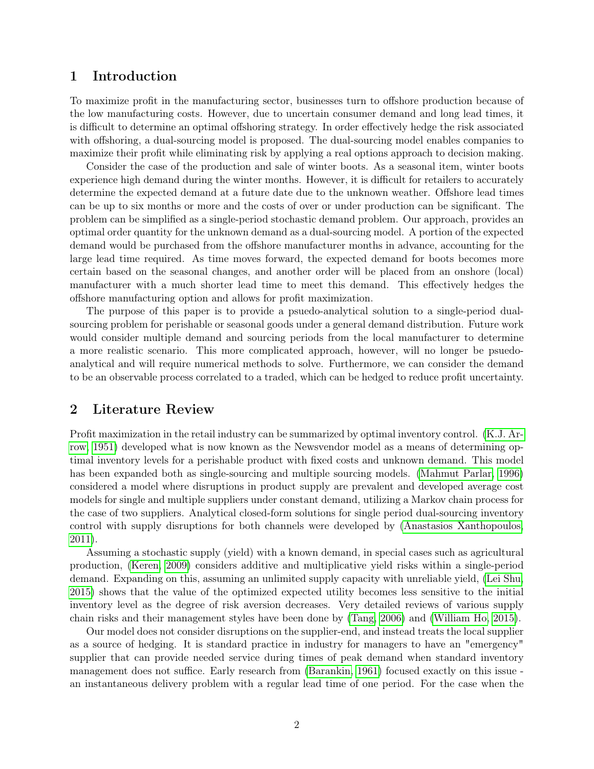#### 1 Introduction

To maximize profit in the manufacturing sector, businesses turn to offshore production because of the low manufacturing costs. However, due to uncertain consumer demand and long lead times, it is difficult to determine an optimal offshoring strategy. In order effectively hedge the risk associated with offshoring, a dual-sourcing model is proposed. The dual-sourcing model enables companies to maximize their profit while eliminating risk by applying a real options approach to decision making.

Consider the case of the production and sale of winter boots. As a seasonal item, winter boots experience high demand during the winter months. However, it is difficult for retailers to accurately determine the expected demand at a future date due to the unknown weather. Offshore lead times can be up to six months or more and the costs of over or under production can be significant. The problem can be simplified as a single-period stochastic demand problem. Our approach, provides an optimal order quantity for the unknown demand as a dual-sourcing model. A portion of the expected demand would be purchased from the offshore manufacturer months in advance, accounting for the large lead time required. As time moves forward, the expected demand for boots becomes more certain based on the seasonal changes, and another order will be placed from an onshore (local) manufacturer with a much shorter lead time to meet this demand. This effectively hedges the offshore manufacturing option and allows for profit maximization.

The purpose of this paper is to provide a psuedo-analytical solution to a single-period dualsourcing problem for perishable or seasonal goods under a general demand distribution. Future work would consider multiple demand and sourcing periods from the local manufacturer to determine a more realistic scenario. This more complicated approach, however, will no longer be psuedoanalytical and will require numerical methods to solve. Furthermore, we can consider the demand to be an observable process correlated to a traded, which can be hedged to reduce profit uncertainty.

#### 2 Literature Review

Profit maximization in the retail industry can be summarized by optimal inventory control. [\(K.J. Ar](#page-8-0)[row, 1951\)](#page-8-0) developed what is now known as the Newsvendor model as a means of determining optimal inventory levels for a perishable product with fixed costs and unknown demand. This model has been expanded both as single-sourcing and multiple sourcing models. [\(Mahmut Parlar, 1996\)](#page-8-1) considered a model where disruptions in product supply are prevalent and developed average cost models for single and multiple suppliers under constant demand, utilizing a Markov chain process for the case of two suppliers. Analytical closed-form solutions for single period dual-sourcing inventory control with supply disruptions for both channels were developed by [\(Anastasios Xanthopoulos,](#page-8-2) [2011\)](#page-8-2).

Assuming a stochastic supply (yield) with a known demand, in special cases such as agricultural production, [\(Keren, 2009\)](#page-8-3) considers additive and multiplicative yield risks within a single-period demand. Expanding on this, assuming an unlimited supply capacity with unreliable yield, [\(Lei Shu,](#page-8-4) [2015\)](#page-8-4) shows that the value of the optimized expected utility becomes less sensitive to the initial inventory level as the degree of risk aversion decreases. Very detailed reviews of various supply chain risks and their management styles have been done by [\(Tang, 2006\)](#page-8-5) and [\(William Ho, 2015\)](#page-8-6).

Our model does not consider disruptions on the supplier-end, and instead treats the local supplier as a source of hedging. It is standard practice in industry for managers to have an "emergency" supplier that can provide needed service during times of peak demand when standard inventory management does not suffice. Early research from [\(Barankin, 1961\)](#page-8-7) focused exactly on this issue an instantaneous delivery problem with a regular lead time of one period. For the case when the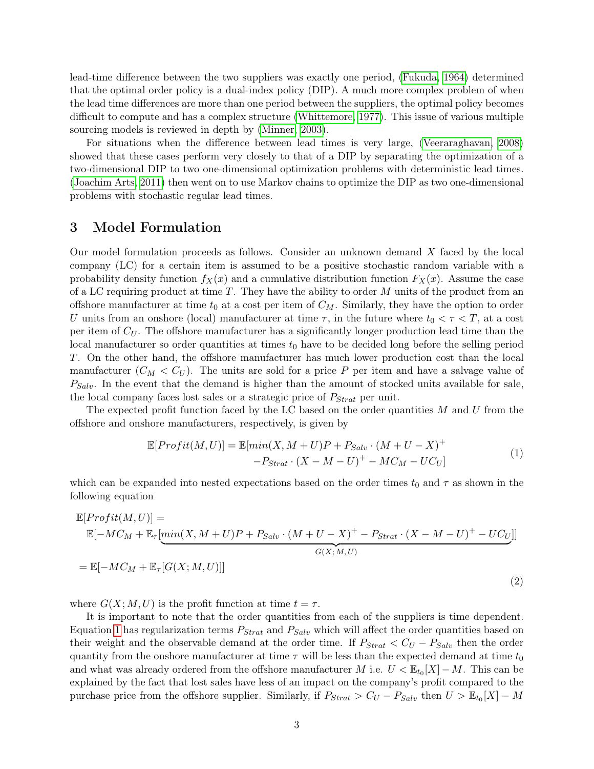lead-time difference between the two suppliers was exactly one period, [\(Fukuda, 1964\)](#page-8-8) determined that the optimal order policy is a dual-index policy (DIP). A much more complex problem of when the lead time differences are more than one period between the suppliers, the optimal policy becomes difficult to compute and has a complex structure [\(Whittemore, 1977\)](#page-8-9). This issue of various multiple sourcing models is reviewed in depth by [\(Minner, 2003\)](#page-8-10).

For situations when the difference between lead times is very large, [\(Veeraraghavan, 2008\)](#page-8-11) showed that these cases perform very closely to that of a DIP by separating the optimization of a two-dimensional DIP to two one-dimensional optimization problems with deterministic lead times. [\(Joachim Arts, 2011\)](#page-8-12) then went on to use Markov chains to optimize the DIP as two one-dimensional problems with stochastic regular lead times.

#### 3 Model Formulation

Our model formulation proceeds as follows. Consider an unknown demand X faced by the local company (LC) for a certain item is assumed to be a positive stochastic random variable with a probability density function  $f_X(x)$  and a cumulative distribution function  $F_X(x)$ . Assume the case of a LC requiring product at time  $T$ . They have the ability to order  $M$  units of the product from an offshore manufacturer at time  $t_0$  at a cost per item of  $C_M$ . Similarly, they have the option to order U units from an onshore (local) manufacturer at time  $\tau$ , in the future where  $t_0 < \tau < T$ , at a cost per item of  $C_U$ . The offshore manufacturer has a significantly longer production lead time than the local manufacturer so order quantities at times  $t_0$  have to be decided long before the selling period T. On the other hand, the offshore manufacturer has much lower production cost than the local manufacturer  $(C_M < C_U)$ . The units are sold for a price P per item and have a salvage value of  $P_{Salt}$ . In the event that the demand is higher than the amount of stocked units available for sale, the local company faces lost sales or a strategic price of  $P_{Strat}$  per unit.

The expected profit function faced by the LC based on the order quantities  $M$  and  $U$  from the offshore and onshore manufacturers, respectively, is given by

$$
\mathbb{E}[Profit(M, U)] = \mathbb{E}[min(X, M + U)P + P_{Salv} \cdot (M + U - X)^{+}
$$

$$
-P_{Strat} \cdot (X - M - U)^{+} - MC_M - UC_U]
$$

$$
\tag{1}
$$

<span id="page-2-0"></span>which can be expanded into nested expectations based on the order times  $t_0$  and  $\tau$  as shown in the following equation

$$
\mathbb{E}[Profit(M, U)] = \mathbb{E}[-MC_M + \mathbb{E}_{\tau}[\min(X, M + U)P + P_{Salv} \cdot (M + U - X)^{+} - P_{Strat} \cdot (X - M - U)^{+} - UC_{U}]]
$$
  
= 
$$
\mathbb{E}[-MC_M + \mathbb{E}_{\tau}[G(X; M, U)]]
$$
 (2)

where  $G(X; M, U)$  is the profit function at time  $t = \tau$ .

It is important to note that the order quantities from each of the suppliers is time dependent. Equation [1](#page-2-0) has regularization terms  $P_{Strat}$  and  $P_{Salv}$  which will affect the order quantities based on their weight and the observable demand at the order time. If  $P_{Strat} < C_U - P_{Salv}$  then the order quantity from the onshore manufacturer at time  $\tau$  will be less than the expected demand at time  $t_0$ and what was already ordered from the offshore manufacturer M i.e.  $U < \mathbb{E}_{t_0}[X] - M$ . This can be explained by the fact that lost sales have less of an impact on the company's profit compared to the purchase price from the offshore supplier. Similarly, if  $P_{Strat} > C_U - P_{Salv}$  then  $U > \mathbb{E}_{t_0}[X] - M$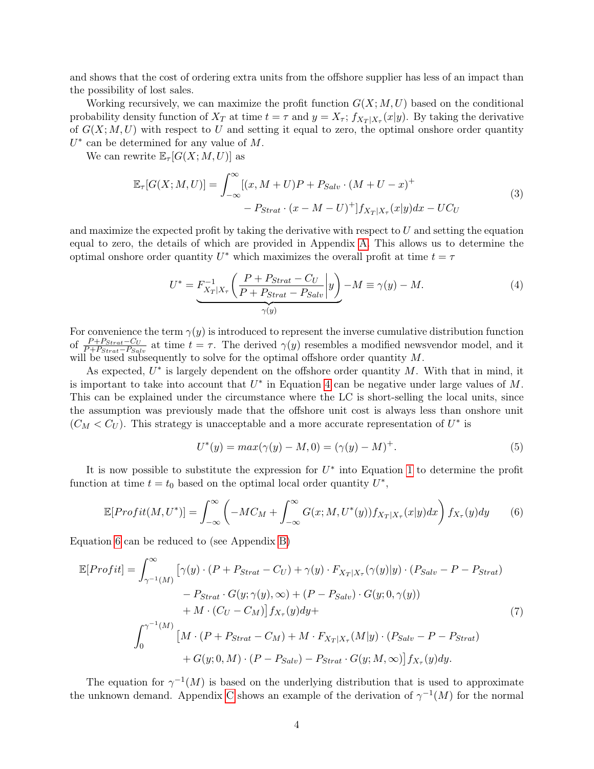and shows that the cost of ordering extra units from the offshore supplier has less of an impact than the possibility of lost sales.

Working recursively, we can maximize the profit function  $G(X; M, U)$  based on the conditional probability density function of  $X_T$  at time  $t = \tau$  and  $y = X_{\tau}$ ;  $f_{X_T|X_{\tau}}(x|y)$ . By taking the derivative of  $G(X; M, U)$  with respect to U and setting it equal to zero, the optimal onshore order quantity  $U^*$  can be determined for any value of M.

<span id="page-3-3"></span>We can rewrite  $\mathbb{E}_{\tau}[G(X; M, U)]$  as

$$
\mathbb{E}_{\tau}[G(X;M,U)] = \int_{-\infty}^{\infty} [(x, M+U)P + P_{Salv} \cdot (M+U-x)^+ - P_{Strat} \cdot (x-M-U)^+] f_{X_T|X_\tau}(x|y) dx - UC_U
$$
\n(3)

and maximize the expected profit by taking the derivative with respect to  $U$  and setting the equation equal to zero, the details of which are provided in Appendix [A.](#page-9-0) This allows us to determine the optimal onshore order quantity  $U^*$  which maximizes the overall profit at time  $t = \tau$ 

<span id="page-3-0"></span>
$$
U^* = \underbrace{F_{X_T|X_\tau}^{-1} \left( \frac{P + P_{Strat} - C_U}{P + P_{Strat} - P_{Salv}} \middle| y \right)}_{\gamma(y)} - M \equiv \gamma(y) - M. \tag{4}
$$

For convenience the term  $\gamma(y)$  is introduced to represent the inverse cumulative distribution function of  $\frac{P + P_{Strat}-C_U}{P + P_{Strat}-P_{Salv}}$  at time  $t = \tau$ . The derived  $\gamma(y)$  resembles a modified newsvendor model, and it will be used subsequently to solve for the optimal offshore order quantity  $M$ .

As expected,  $U^*$  is largely dependent on the offshore order quantity  $M$ . With that in mind, it is important to take into account that  $U^*$  in Equation [4](#page-3-0) can be negative under large values of M. This can be explained under the circumstance where the LC is short-selling the local units, since the assumption was previously made that the offshore unit cost is always less than onshore unit  $(C_M < C_U)$ . This strategy is unacceptable and a more accurate representation of  $U^*$  is

$$
U^*(y) = max(\gamma(y) - M, 0) = (\gamma(y) - M)^+.
$$
\n(5)

It is now possible to substitute the expression for  $U^*$  into Equation [1](#page-2-0) to determine the profit function at time  $t = t_0$  based on the optimal local order quantity  $U^*$ ,

<span id="page-3-1"></span>
$$
\mathbb{E}[Profit(M, U^*)] = \int_{-\infty}^{\infty} \left( -MC_M + \int_{-\infty}^{\infty} G(x; M, U^*(y)) f_{X_T|X_\tau}(x|y) dx \right) f_{X_\tau}(y) dy \tag{6}
$$

Equation [6](#page-3-1) can be reduced to (see Appendix [B\)](#page-10-0)

<span id="page-3-2"></span>
$$
\mathbb{E}[Profit] = \int_{\gamma^{-1}(M)}^{\infty} \left[ \gamma(y) \cdot (P + P_{Strat} - C_U) + \gamma(y) \cdot F_{X_T|X_\tau}(\gamma(y)|y) \cdot (P_{Salv} - P - P_{Strat}) \right. \\ \left. - P_{Strat} \cdot G(y; \gamma(y), \infty) + (P - P_{Salv}) \cdot G(y; 0, \gamma(y)) \right. \\ \left. + M \cdot (C_U - C_M) \right] f_{X_\tau}(y) dy + \int_0^{\gamma^{-1}(M)} \left[ M \cdot (P + P_{Strat} - C_M) + M \cdot F_{X_T|X_\tau}(M|y) \cdot (P_{Salv} - P - P_{Strat}) \right. \\ \left. + G(y; 0, M) \cdot (P - P_{Salv}) - P_{Strat} \cdot G(y; M, \infty) \right] f_{X_\tau}(y) dy.
$$
 (7)

The equation for  $\gamma^{-1}(M)$  is based on the underlying distribution that is used to approximate the unknown demand. Appendix [C](#page-11-0) shows an example of the derivation of  $\gamma^{-1}(M)$  for the normal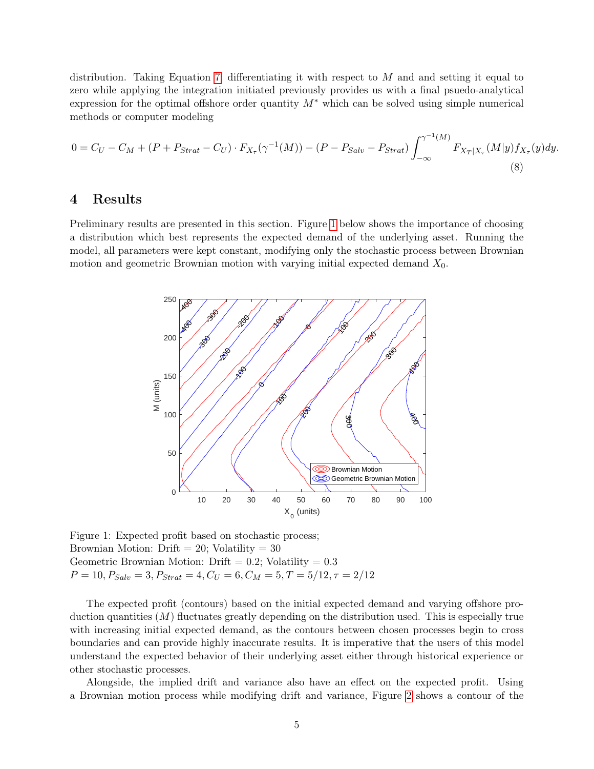distribution. Taking Equation [7;](#page-3-2) differentiating it with respect to  $M$  and and setting it equal to zero while applying the integration initiated previously provides us with a final psuedo-analytical expression for the optimal offshore order quantity  $M^*$  which can be solved using simple numerical methods or computer modeling

$$
0 = C_U - C_M + (P + P_{Strat} - C_U) \cdot F_{X_\tau}(\gamma^{-1}(M)) - (P - P_{Salv} - P_{Strat}) \int_{-\infty}^{\gamma^{-1}(M)} F_{X_T|X_\tau}(M|y) f_{X_\tau}(y) dy.
$$
\n(8)

#### 4 Results

<span id="page-4-0"></span>Preliminary results are presented in this section. Figure [1](#page-4-0) below shows the importance of choosing a distribution which best represents the expected demand of the underlying asset. Running the model, all parameters were kept constant, modifying only the stochastic process between Brownian motion and geometric Brownian motion with varying initial expected demand  $X_0$ .



Figure 1: Expected profit based on stochastic process; Brownian Motion: Drift  $= 20$ ; Volatility  $= 30$ Geometric Brownian Motion: Drift  $= 0.2$ ; Volatility  $= 0.3$  $P = 10, P_{Salv} = 3, P_{Strat} = 4, C_U = 6, C_M = 5, T = 5/12, \tau = 2/12$ 

The expected profit (contours) based on the initial expected demand and varying offshore production quantities  $(M)$  fluctuates greatly depending on the distribution used. This is especially true with increasing initial expected demand, as the contours between chosen processes begin to cross boundaries and can provide highly inaccurate results. It is imperative that the users of this model understand the expected behavior of their underlying asset either through historical experience or other stochastic processes.

Alongside, the implied drift and variance also have an effect on the expected profit. Using a Brownian motion process while modifying drift and variance, Figure [2](#page-5-0) shows a contour of the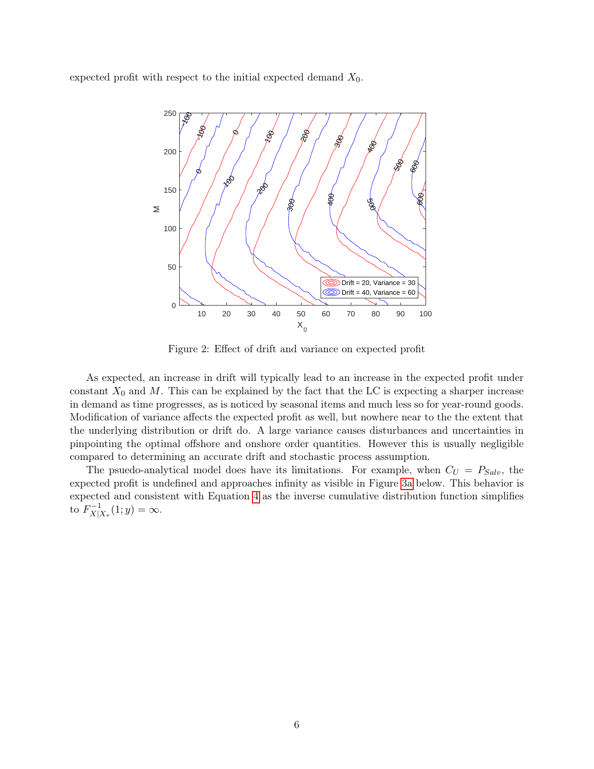<span id="page-5-0"></span>expected profit with respect to the initial expected demand  $X_0$ .



Figure 2: Effect of drift and variance on expected profit

As expected, an increase in drift will typically lead to an increase in the expected profit under constant  $X_0$  and M. This can be explained by the fact that the LC is expecting a sharper increase in demand as time progresses, as is noticed by seasonal items and much less so for year-round goods. Modification of variance affects the expected profit as well, but nowhere near to the the extent that the underlying distribution or drift do. A large variance causes disturbances and uncertainties in pinpointing the optimal offshore and onshore order quantities. However this is usually negligible compared to determining an accurate drift and stochastic process assumption.

The psuedo-analytical model does have its limitations. For example, when  $C_U = P_{Salv}$ , the expected profit is undefined and approaches infinity as visible in Figure [3a](#page-6-0) below. This behavior is expected and consistent with Equation [4](#page-3-0) as the inverse cumulative distribution function simplifies to  $F_{X\Box}^{-1}$  $X|_{X_{\tau}}^{-1}(1; y) = \infty.$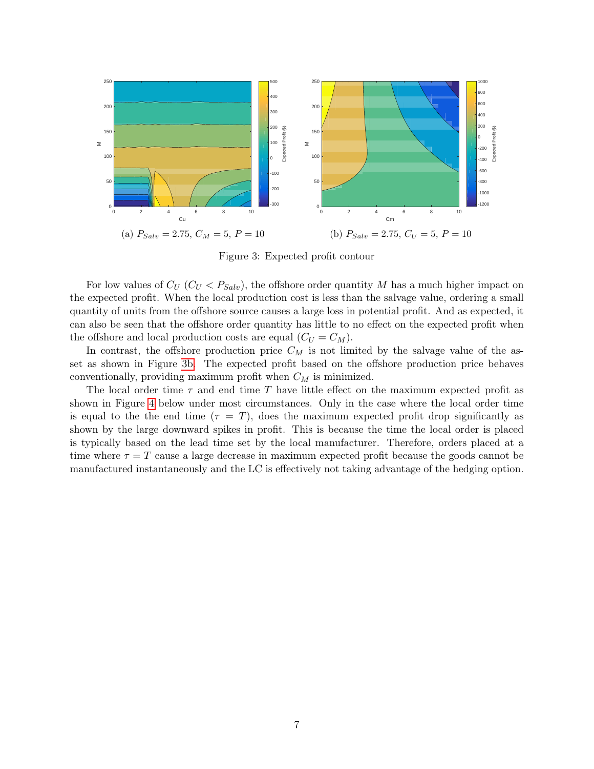<span id="page-6-0"></span>

Figure 3: Expected profit contour

For low values of  $C_U$  ( $C_U < P_{Solv}$ ), the offshore order quantity M has a much higher impact on the expected profit. When the local production cost is less than the salvage value, ordering a small quantity of units from the offshore source causes a large loss in potential profit. And as expected, it can also be seen that the offshore order quantity has little to no effect on the expected profit when the offshore and local production costs are equal  $(C_U = C_M)$ .

In contrast, the offshore production price  $C_M$  is not limited by the salvage value of the asset as shown in Figure [3b.](#page-6-0) The expected profit based on the offshore production price behaves conventionally, providing maximum profit when  $C_M$  is minimized.

The local order time  $\tau$  and end time T have little effect on the maximum expected profit as shown in Figure [4](#page-7-0) below under most circumstances. Only in the case where the local order time is equal to the the end time  $(\tau = T)$ , does the maximum expected profit drop significantly as shown by the large downward spikes in profit. This is because the time the local order is placed is typically based on the lead time set by the local manufacturer. Therefore, orders placed at a time where  $\tau = T$  cause a large decrease in maximum expected profit because the goods cannot be manufactured instantaneously and the LC is effectively not taking advantage of the hedging option.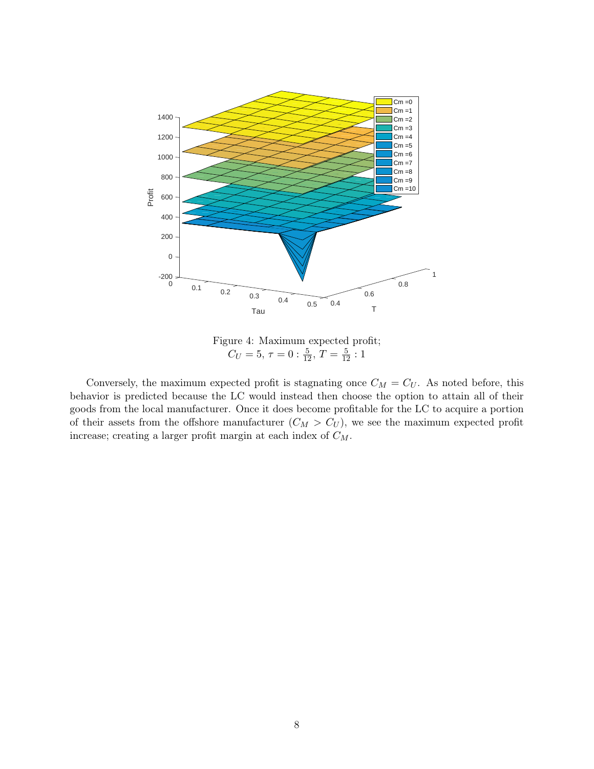<span id="page-7-0"></span>

Figure 4: Maximum expected profit;  $C_U = 5, \tau = 0: \frac{5}{12}, T = \frac{5}{12} : 1$ 

Conversely, the maximum expected profit is stagnating once  $C_M = C_U$ . As noted before, this behavior is predicted because the LC would instead then choose the option to attain all of their goods from the local manufacturer. Once it does become profitable for the LC to acquire a portion of their assets from the offshore manufacturer  $(C_M > C_U)$ , we see the maximum expected profit increase; creating a larger profit margin at each index of  $C_M$ .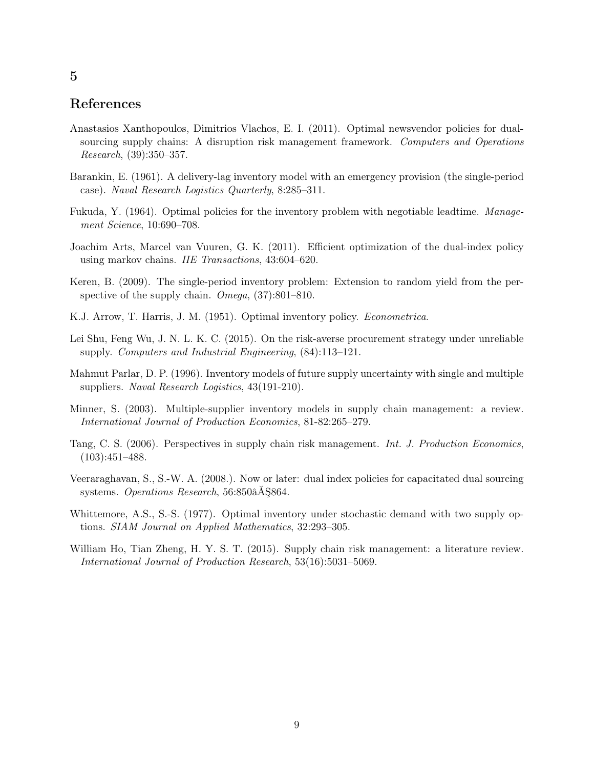#### References

- <span id="page-8-2"></span>Anastasios Xanthopoulos, Dimitrios Vlachos, E. I. (2011). Optimal newsvendor policies for dualsourcing supply chains: A disruption risk management framework. Computers and Operations Research, (39):350–357.
- <span id="page-8-7"></span>Barankin, E. (1961). A delivery-lag inventory model with an emergency provision (the single-period case). Naval Research Logistics Quarterly, 8:285–311.
- <span id="page-8-8"></span>Fukuda, Y. (1964). Optimal policies for the inventory problem with negotiable leadtime. Management Science, 10:690–708.
- <span id="page-8-12"></span>Joachim Arts, Marcel van Vuuren, G. K. (2011). Efficient optimization of the dual-index policy using markov chains. IIE Transactions, 43:604–620.
- <span id="page-8-3"></span>Keren, B. (2009). The single-period inventory problem: Extension to random yield from the perspective of the supply chain. Omega,  $(37):801-810$ .
- <span id="page-8-0"></span>K.J. Arrow, T. Harris, J. M. (1951). Optimal inventory policy. Econometrica.
- <span id="page-8-4"></span>Lei Shu, Feng Wu, J. N. L. K. C. (2015). On the risk-averse procurement strategy under unreliable supply. Computers and Industrial Engineering, (84):113–121.
- <span id="page-8-1"></span>Mahmut Parlar, D. P. (1996). Inventory models of future supply uncertainty with single and multiple suppliers. Naval Research Logistics, 43(191-210).
- <span id="page-8-10"></span>Minner, S. (2003). Multiple-supplier inventory models in supply chain management: a review. International Journal of Production Economics, 81-82:265–279.
- <span id="page-8-5"></span>Tang, C. S. (2006). Perspectives in supply chain risk management. Int. J. Production Economics, (103):451–488.
- <span id="page-8-11"></span>Veeraraghavan, S., S.-W. A. (2008.). Now or later: dual index policies for capacitated dual sourcing systems. Operations Research, 56:850âĂŞ864.
- <span id="page-8-9"></span>Whittemore, A.S., S.-S. (1977). Optimal inventory under stochastic demand with two supply options. SIAM Journal on Applied Mathematics, 32:293–305.
- <span id="page-8-6"></span>William Ho, Tian Zheng, H. Y. S. T. (2015). Supply chain risk management: a literature review. International Journal of Production Research, 53(16):5031–5069.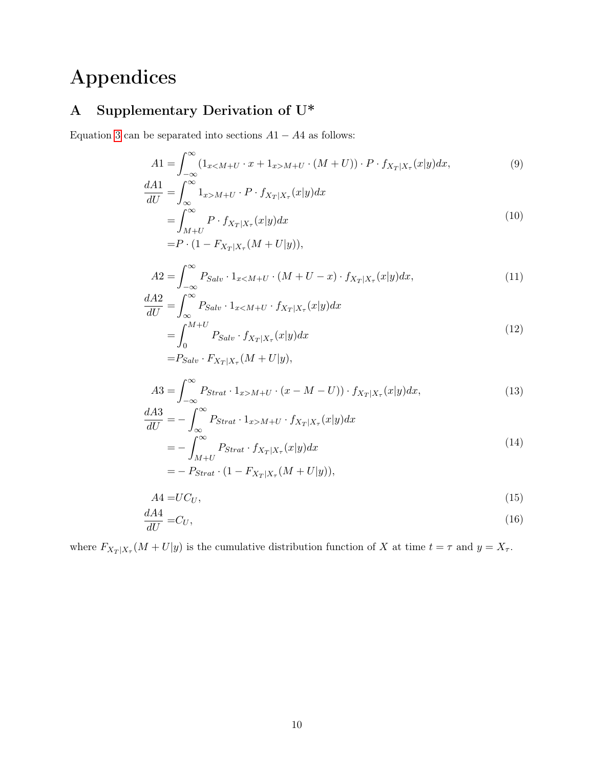# Appendices

## <span id="page-9-0"></span>A Supplementary Derivation of U\*

Equation [3](#page-3-3) can be separated into sections  $A1 - A4$  as follows:

$$
A1 = \int_{-\infty}^{\infty} \left( 1_{x < M+U} \cdot x + 1_{x > M+U} \cdot (M+U) \right) \cdot P \cdot f_{X_T|X_\tau}(x|y) dx,
$$
\n(9)

$$
\frac{dA1}{dU} = \int_{\infty}^{\infty} 1_{x>M+U} \cdot P \cdot f_{X_T|X_\tau}(x|y) dx
$$

$$
= \int_{M+U}^{\infty} P \cdot f_{X_T|X_\tau}(x|y) dx
$$
\n(10)

$$
= P \cdot (1 - F_{X_T|X_\tau}(M + U|y)),
$$

$$
A2 = \int_{-\infty}^{\infty} P_{Salv} \cdot 1_{x < M+U} \cdot (M+U-x) \cdot f_{X_T|X_\tau}(x|y) dx,
$$
\n(11)

$$
\frac{dA2}{dU} = \int_{\infty}^{\infty} P_{Salv} \cdot 1_{x < M+U} \cdot f_{X_T|X_\tau}(x|y) dx
$$
  
= 
$$
\int_{0}^{M+U} P_{Salv} \cdot f_{X_T|X_\tau}(x|y) dx
$$
  
= 
$$
P_{Salv} \cdot F_{X_T|X_\tau}(M+U|y),
$$
 (12)

$$
A3 = \int_{-\infty}^{\infty} P_{Strat} \cdot 1_{x>M+U} \cdot (x - M - U)) \cdot f_{X_T|X_\tau}(x|y) dx, \tag{13}
$$

$$
\frac{dA3}{dU} = -\int_{\infty}^{\infty} P_{Strat} \cdot 1_{x>M+U} \cdot f_{X_T|X_\tau}(x|y) dx
$$

$$
= -\int_{M+U}^{\infty} P_{Strat} \cdot f_{X_T|X_\tau}(x|y) dx
$$
\n(14)

$$
=-\ P_{Strat}\cdot(1-F_{X_T|X_\tau}(M+U|y)),
$$

$$
A4 = U C_U,\tag{15}
$$

$$
\frac{dA4}{dU} = C_U,\tag{16}
$$

where  $F_{X_T|X_\tau}(M+U|y)$  is the cumulative distribution function of X at time  $t = \tau$  and  $y = X_\tau$ .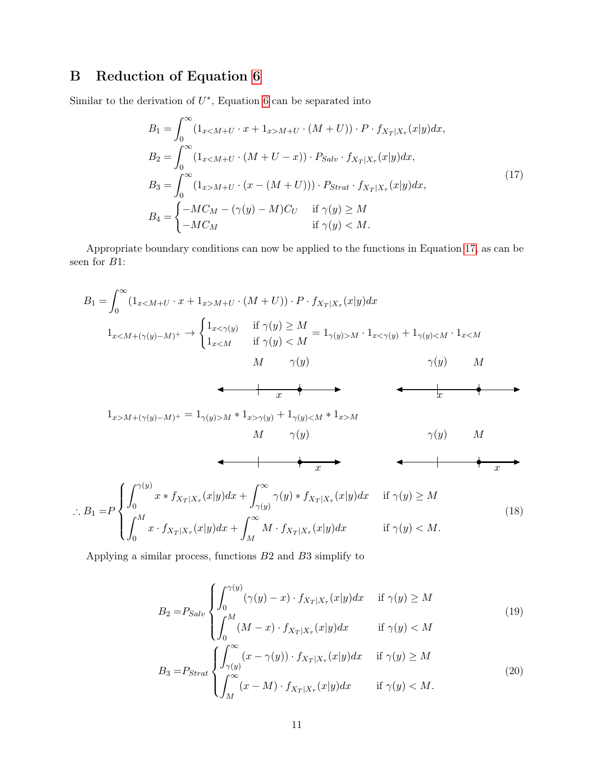### <span id="page-10-0"></span>B Reduction of Equation [6](#page-3-1)

Similar to the derivation of  $U^*$ , Equation [6](#page-3-1) can be separated into

<span id="page-10-1"></span>
$$
B_{1} = \int_{0}^{\infty} (1_{x < M+U} \cdot x + 1_{x > M+U} \cdot (M+U)) \cdot P \cdot f_{X_{T}|X_{\tau}}(x|y) dx,
$$
  
\n
$$
B_{2} = \int_{0}^{\infty} (1_{x < M+U} \cdot (M+U-x)) \cdot P_{Salv} \cdot f_{X_{T}|X_{\tau}}(x|y) dx,
$$
  
\n
$$
B_{3} = \int_{0}^{\infty} (1_{x > M+U} \cdot (x - (M+U))) \cdot P_{Strat} \cdot f_{X_{T}|X_{\tau}}(x|y) dx,
$$
  
\n
$$
B_{4} = \begin{cases} -MC_{M} - (\gamma(y) - M)C_{U} & \text{if } \gamma(y) \ge M \\ -MC_{M} & \text{if } \gamma(y) < M. \end{cases}
$$
\n(17)

Appropriate boundary conditions can now be applied to the functions in Equation [17,](#page-10-1) as can be seen for B1:

B<sup>1</sup> = Z <sup>∞</sup> 0 (1x<M+<sup>U</sup> · x + 1x>M+<sup>U</sup> · (M + U)) · P · fX<sup>T</sup> <sup>|</sup>X<sup>τ</sup> (x|y)dx 1x<M+(γ(y)−M)<sup>+</sup> → ( 1x<γ(y) if γ(y) ≥ M 1x<M if γ(y) < M = 1γ(y)>M · 1x<γ(y) + 1γ(y)<M · 1x<M M γ(y) x γ(y) M x 1x>M+(γ(y)−M)<sup>+</sup> = 1γ(y)>M ∗ 1x>γ(y) + 1γ(y)<M ∗ 1x>M M γ(y) x γ(y) M x ∴ B<sup>1</sup> =P Z <sup>γ</sup>(y) 0 x ∗ fX<sup>T</sup> <sup>|</sup>X<sup>τ</sup> (x|y)dx + Z <sup>∞</sup> γ(y) γ(y) ∗ fX<sup>T</sup> <sup>|</sup>X<sup>τ</sup> (x|y)dx if γ(y) ≥ M Z <sup>M</sup> 0 x · fX<sup>T</sup> <sup>|</sup>X<sup>τ</sup> (x|y)dx + Z <sup>∞</sup> M M · fX<sup>T</sup> <sup>|</sup>X<sup>τ</sup> (x|y)dx if γ(y) < M. (18)

Applying a similar process, functions B2 and B3 simplify to

<span id="page-10-4"></span><span id="page-10-3"></span><span id="page-10-2"></span>
$$
B_2 = P_{Salv} \begin{cases} \int_0^{\gamma(y)} (\gamma(y) - x) \cdot f_{X_T|X_\tau}(x|y) dx & \text{if } \gamma(y) \ge M \\ \int_0^M (M - x) \cdot f_{X_T|X_\tau}(x|y) dx & \text{if } \gamma(y) < M \end{cases}
$$
\n
$$
B_3 = P_{Strat} \begin{cases} \int_{\gamma(y)}^\infty (x - \gamma(y)) \cdot f_{X_T|X_\tau}(x|y) dx & \text{if } \gamma(y) \ge M \\ \int_M^\infty (x - M) \cdot f_{X_T|X_\tau}(x|y) dx & \text{if } \gamma(y) < M. \end{cases}
$$
\n(20)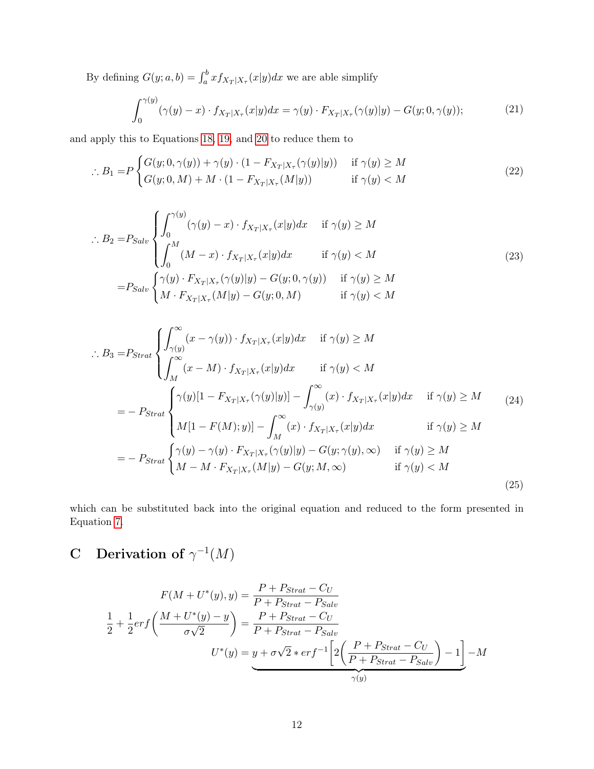By defining  $G(y; a, b) = \int_a^b x f_{X_T|X_\tau}(x|y) dx$  we are able simplify

$$
\int_0^{\gamma(y)} (\gamma(y) - x) \cdot f_{X_T | X_\tau}(x|y) dx = \gamma(y) \cdot F_{X_T | X_\tau}(\gamma(y)|y) - G(y; 0, \gamma(y)); \tag{21}
$$

and apply this to Equations [18,](#page-10-2) [19,](#page-10-3) and [20](#page-10-4) to reduce them to

$$
\therefore B_1 = P \begin{cases} G(y; 0, \gamma(y)) + \gamma(y) \cdot (1 - F_{X_T|X_\tau}(\gamma(y)|y)) & \text{if } \gamma(y) \ge M \\ G(y; 0, M) + M \cdot (1 - F_{X_T|X_\tau}(M|y)) & \text{if } \gamma(y) < M \end{cases}
$$
\n(22)

$$
\therefore B_2 = P_{Salv} \begin{cases} \int_0^{\gamma(y)} (\gamma(y) - x) \cdot f_{X_T|X_\tau}(x|y) dx & \text{if } \gamma(y) \ge M \\ \int_0^M (M - x) \cdot f_{X_T|X_\tau}(x|y) dx & \text{if } \gamma(y) < M \end{cases}
$$
\n
$$
= P_{Salv} \begin{cases} \gamma(y) \cdot F_{X_T|X_\tau}(\gamma(y)|y) - G(y; 0, \gamma(y)) & \text{if } \gamma(y) \ge M \\ M \cdot F_{X_T|X_\tau}(M|y) - G(y; 0, M) & \text{if } \gamma(y) < M \end{cases}
$$
\n(23)

$$
\therefore B_3 = P_{Strat} \begin{cases} \int_{\gamma(y)}^{\infty} (x - \gamma(y)) \cdot f_{X_T|X_\tau}(x|y) dx & \text{if } \gamma(y) \ge M \\ \int_{M}^{\infty} (x - M) \cdot f_{X_T|X_\tau}(x|y) dx & \text{if } \gamma(y) < M \end{cases}
$$
  
\n
$$
= - P_{Strat} \begin{cases} \gamma(y)[1 - F_{X_T|X_\tau}(\gamma(y)|y)] - \int_{\gamma(y)}^{\infty} (x) \cdot f_{X_T|X_\tau}(x|y) dx & \text{if } \gamma(y) \ge M \\ M[1 - F(M); y)] - \int_{M}^{\infty} (x) \cdot f_{X_T|X_\tau}(x|y) dx & \text{if } \gamma(y) \ge M \end{cases}
$$
  
\n
$$
= - P_{Strat} \begin{cases} \gamma(y) - \gamma(y) \cdot F_{X_T|X_\tau}(\gamma(y)|y) - G(y; \gamma(y), \infty) & \text{if } \gamma(y) \ge M \\ M - M \cdot F_{X_T|X_\tau}(M|y) - G(y; M, \infty) & \text{if } \gamma(y) < M \end{cases}
$$
  
\n(25)

which can be substituted back into the original equation and reduced to the form presented in Equation [7.](#page-3-2)

### <span id="page-11-0"></span>C Derivation of  $\gamma^{-1}(M)$

$$
F(M + U^*(y), y) = \frac{P + P_{Strat} - C_U}{P + P_{Strat} - P_{Salv}}
$$

$$
\frac{1}{2} + \frac{1}{2} erf\left(\frac{M + U^*(y) - y}{\sigma\sqrt{2}}\right) = \frac{P + P_{Strat} - C_U}{P + P_{Strat} - P_{Salv}}
$$

$$
U^*(y) = \underbrace{y + \sigma\sqrt{2} * erf^{-1}\left[2\left(\frac{P + P_{Strat} - C_U}{P + P_{Strat} - P_{Salv}}\right) - 1\right]}_{\gamma(y)} - M
$$